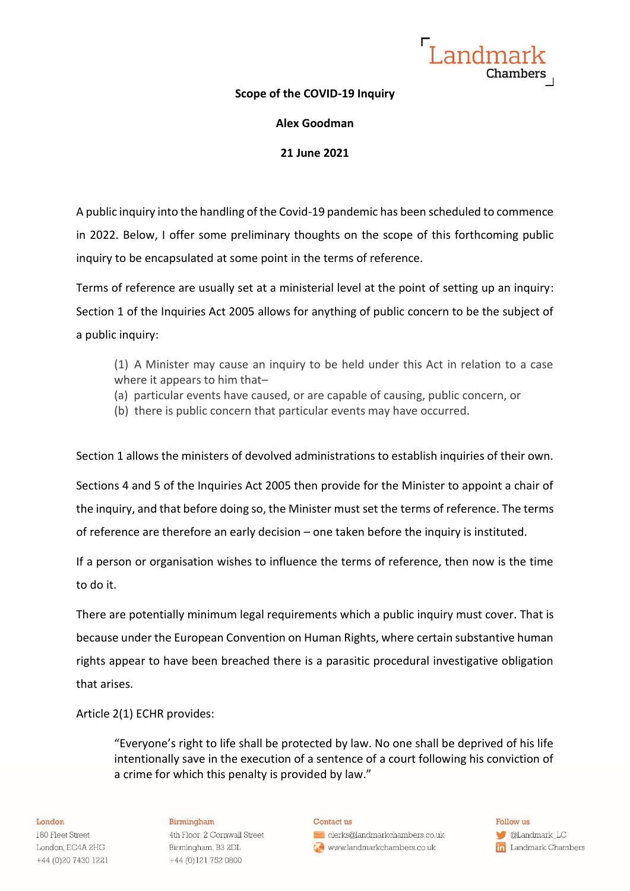Landmar Chambers

### **Scope of the COVID-19 Inquiry**

**Alex Goodman**

**21 June 2021**

A public inquiry into the handling of the Covid-19 pandemic has been scheduled to commence in 2022. Below, I offer some preliminary thoughts on the scope of this forthcoming public inquiry to be encapsulated at some point in the terms of reference.

Terms of reference are usually set at a ministerial level at the point of setting up an inquiry: Section 1 of the Inquiries Act 2005 allows for anything of public concern to be the subject of a public inquiry:

- (1) A Minister may cause an inquiry to be held under this Act in relation to a case where it appears to him that–
- (a) particular events have caused, or are capable of causing, public concern, or
- (b) there is public concern that particular events may have occurred.

Section 1 allows the ministers of devolved administrations to establish inquiries of their own.

Sections 4 and 5 of the Inquiries Act 2005 then provide for the Minister to appoint a chair of the inquiry, and that before doing so, the Minister must set the terms of reference. The terms of reference are therefore an early decision – one taken before the inquiry is instituted.

If a person or organisation wishes to influence the terms of reference, then now is the time to do it.

There are potentially minimum legal requirements which a public inquiry must cover. That is because under the European Convention on Human Rights, where certain substantive human rights appear to have been breached there is a parasitic procedural investigative obligation that arises.

Article 2(1) ECHR provides:

"Everyone's right to life shall be protected by law. No one shall be deprived of his life intentionally save in the execution of a sentence of a court following his conviction of a crime for which this penalty is provided by law."

### London

180 Fleet Street London, EC4A 2HG +44 (0)20 7430 1221

### Birmingham

4th Floor, 2 Cornwall Street Birmingham, B3 2DL +44 (0)121 752 0800

#### Contact us

clerks@landmarkchambers.co.uk www.landmarkchambers.co.uk

Follow us **C**Landmark\_LC in Landmark Chambers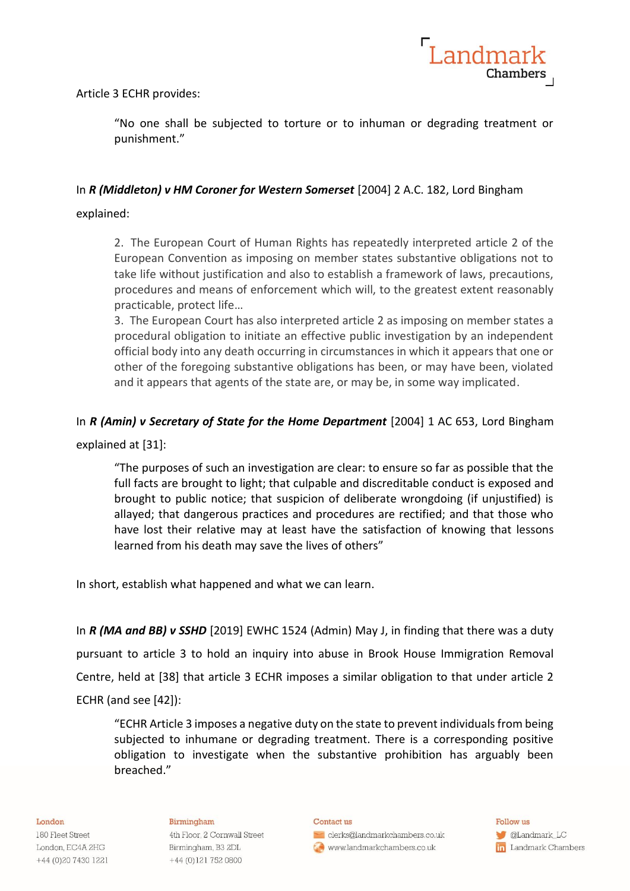

Article 3 ECHR provides:

"No one shall be subjected to torture or to inhuman or degrading treatment or punishment."

# In *R (Middleton) v HM Coroner for Western Somerset* [2004] 2 A.C. 182, Lord Bingham

# explained:

2. The European Court of Human Rights has repeatedly interpreted article 2 of the European Convention as imposing on member states substantive obligations not to take life without justification and also to establish a framework of laws, precautions, procedures and means of enforcement which will, to the greatest extent reasonably practicable, protect life…

3. The European Court has also interpreted article 2 as imposing on member states a procedural obligation to initiate an effective public investigation by an independent official body into any death occurring in circumstances in which it appears that one or other of the foregoing substantive obligations has been, or may have been, violated and it appears that agents of the state are, or may be, in some way implicated.

# In *R (Amin) v Secretary of State for the Home Department* [2004] 1 AC 653, Lord Bingham

explained at [31]:

"The purposes of such an investigation are clear: to ensure so far as possible that the full facts are brought to light; that culpable and discreditable conduct is exposed and brought to public notice; that suspicion of deliberate wrongdoing (if unjustified) is allayed; that dangerous practices and procedures are rectified; and that those who have lost their relative may at least have the satisfaction of knowing that lessons learned from his death may save the lives of others"

In short, establish what happened and what we can learn.

In *R (MA and BB) v SSHD* [2019] EWHC 1524 (Admin) May J, in finding that there was a duty pursuant to article 3 to hold an inquiry into abuse in Brook House Immigration Removal Centre, held at [38] that article 3 ECHR imposes a similar obligation to that under article 2 ECHR (and see [42]):

"ECHR Article 3 imposes a negative duty on the state to prevent individuals from being subjected to inhumane or degrading treatment. There is a corresponding positive obligation to investigate when the substantive prohibition has arguably been breached."

### London

180 Fleet Street London, EC4A 2HG +44 (0)20 7430 1221

### Birmingham

4th Floor, 2 Cornwall Street Birmingham, B3 2DL +44 (0)121 752 0800

#### Contact us

clerks@landmarkchambers.co.uk www.landmarkchambers.co.uk

Follow us **C**Landmark\_LC **in** Landmark Chambers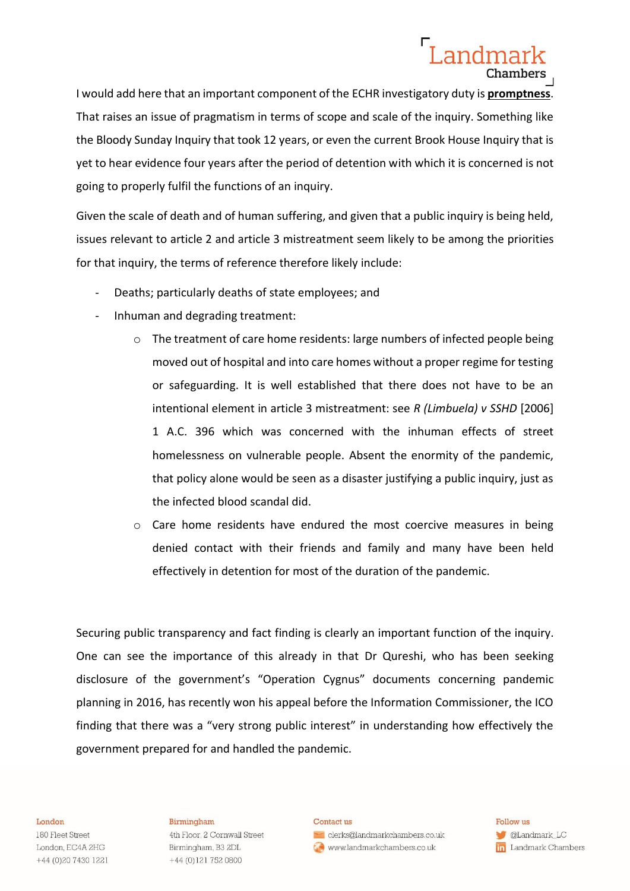# Landmar Chambers

I would add here that an important component of the ECHR investigatory duty is **promptness**. That raises an issue of pragmatism in terms of scope and scale of the inquiry. Something like the Bloody Sunday Inquiry that took 12 years, or even the current Brook House Inquiry that is yet to hear evidence four years after the period of detention with which it is concerned is not going to properly fulfil the functions of an inquiry.

Given the scale of death and of human suffering, and given that a public inquiry is being held, issues relevant to article 2 and article 3 mistreatment seem likely to be among the priorities for that inquiry, the terms of reference therefore likely include:

- Deaths; particularly deaths of state employees; and
- Inhuman and degrading treatment:
	- $\circ$  The treatment of care home residents: large numbers of infected people being moved out of hospital and into care homes without a proper regime for testing or safeguarding. It is well established that there does not have to be an intentional element in article 3 mistreatment: see *R (Limbuela) v SSHD* [2006] 1 A.C. 396 which was concerned with the inhuman effects of street homelessness on vulnerable people. Absent the enormity of the pandemic, that policy alone would be seen as a disaster justifying a public inquiry, just as the infected blood scandal did.
	- $\circ$  Care home residents have endured the most coercive measures in being denied contact with their friends and family and many have been held effectively in detention for most of the duration of the pandemic.

Securing public transparency and fact finding is clearly an important function of the inquiry. One can see the importance of this already in that Dr Qureshi, who has been seeking disclosure of the government's "Operation Cygnus" documents concerning pandemic planning in 2016, has recently won his appeal before the Information Commissioner, the ICO finding that there was a "very strong public interest" in understanding how effectively the government prepared for and handled the pandemic.

#### London

180 Fleet Street London, EC4A 2HG +44 (0) 20 7430 1221

#### Birmingham

4th Floor, 2 Cornwall Street Birmingham, B3 2DL +44 (0)121 752 0800

### Contact us

clerks@landmarkchambers.co.uk www.landmarkchambers.co.uk

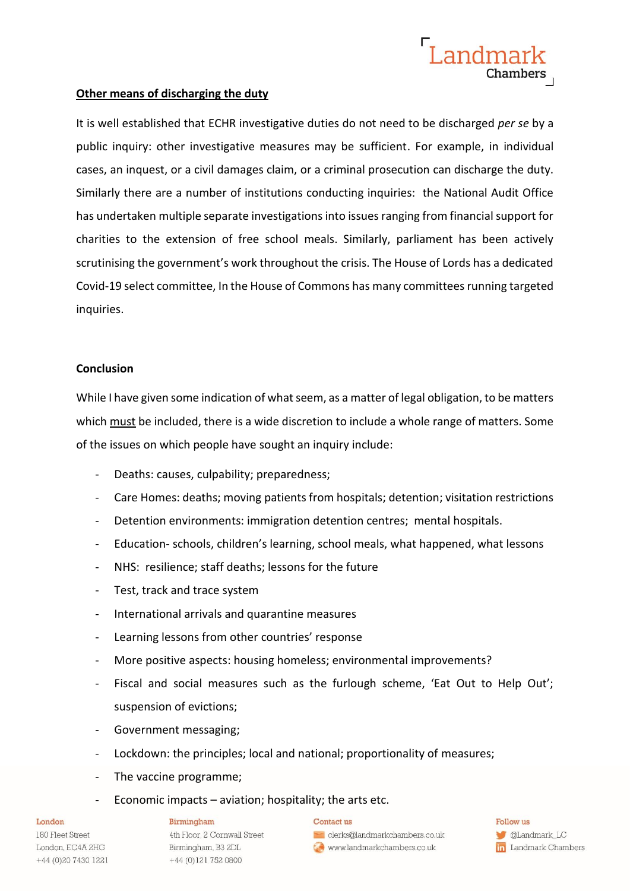# **Other means of discharging the duty**

It is well established that ECHR investigative duties do not need to be discharged *per se* by a public inquiry: other investigative measures may be sufficient. For example, in individual cases, an inquest, or a civil damages claim, or a criminal prosecution can discharge the duty. Similarly there are a number of institutions conducting inquiries: the National Audit Office has undertaken multiple separate investigationsinto issues ranging from financial support for charities to the extension of free school meals. Similarly, parliament has been actively scrutinising the government's work throughout the crisis. The House of Lords has a dedicated Covid-19 select committee, In the House of Commons has many committees running targeted inquiries.

Landmar

Chambers<br>Chambers

## **Conclusion**

While I have given some indication of what seem, as a matter of legal obligation, to be matters which must be included, there is a wide discretion to include a whole range of matters. Some of the issues on which people have sought an inquiry include:

- Deaths: causes, culpability; preparedness;
- Care Homes: deaths; moving patients from hospitals; detention; visitation restrictions
- Detention environments: immigration detention centres; mental hospitals.
- Education- schools, children's learning, school meals, what happened, what lessons
- NHS: resilience; staff deaths; lessons for the future
- Test, track and trace system
- International arrivals and quarantine measures
- Learning lessons from other countries' response
- More positive aspects: housing homeless; environmental improvements?
- Fiscal and social measures such as the furlough scheme, 'Eat Out to Help Out'; suspension of evictions;
- Government messaging;
- Lockdown: the principles; local and national; proportionality of measures;
- The vaccine programme;
- Economic impacts  $-$  aviation; hospitality; the arts etc.

### Contact us



Follow us **CLandmark\_LC** in Landmark Chambers

### London

180 Fleet Street London, EC4A 2HG +44 (0) 20 7430 1221

### Birmingham

4th Floor, 2 Cornwall Street Birmingham, B3 2DL +44 (0)121 752 0800